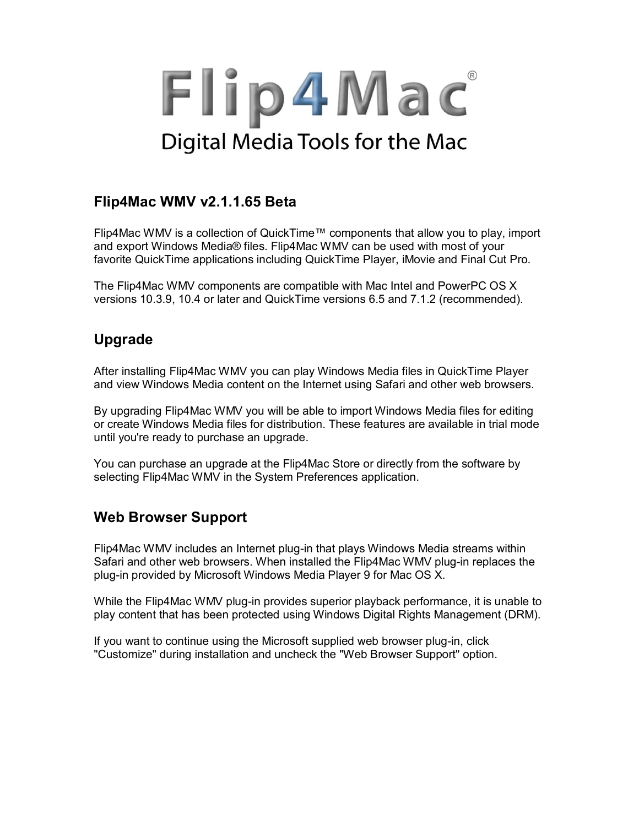# Flip4Mac Digital Media Tools for the Mac

# **Flip4Mac WMV v2.1.1.65 Beta**

Flip4Mac WMV is a collection of QuickTime™ components that allow you to play, import and export Windows Media® files. Flip4Mac WMV can be used with most of your favorite QuickTime applications including QuickTime Player, iMovie and Final Cut Pro.

The Flip4Mac WMV components are compatible with Mac Intel and PowerPC OS X versions 10.3.9, 10.4 or later and QuickTime versions 6.5 and 7.1.2 (recommended).

# **Upgrade**

After installing Flip4Mac WMV you can play Windows Media files in QuickTime Player and view Windows Media content on the Internet using Safari and other web browsers.

By upgrading Flip4Mac WMV you will be able to import Windows Media files for editing or create Windows Media files for distribution. These features are available in trial mode until you're ready to purchase an upgrade.

You can purchase an upgrade at the Flip4Mac Store or directly from the software by selecting Flip4Mac WMV in the System Preferences application.

# **Web Browser Support**

Flip4Mac WMV includes an Internet plug-in that plays Windows Media streams within Safari and other web browsers. When installed the Flip4Mac WMV plug-in replaces the plug-in provided by Microsoft Windows Media Player 9 for Mac OS X.

While the Flip4Mac WMV plug-in provides superior playback performance, it is unable to play content that has been protected using Windows Digital Rights Management (DRM).

If you want to continue using the Microsoft supplied web browser plug-in, click "Customize" during installation and uncheck the "Web Browser Support" option.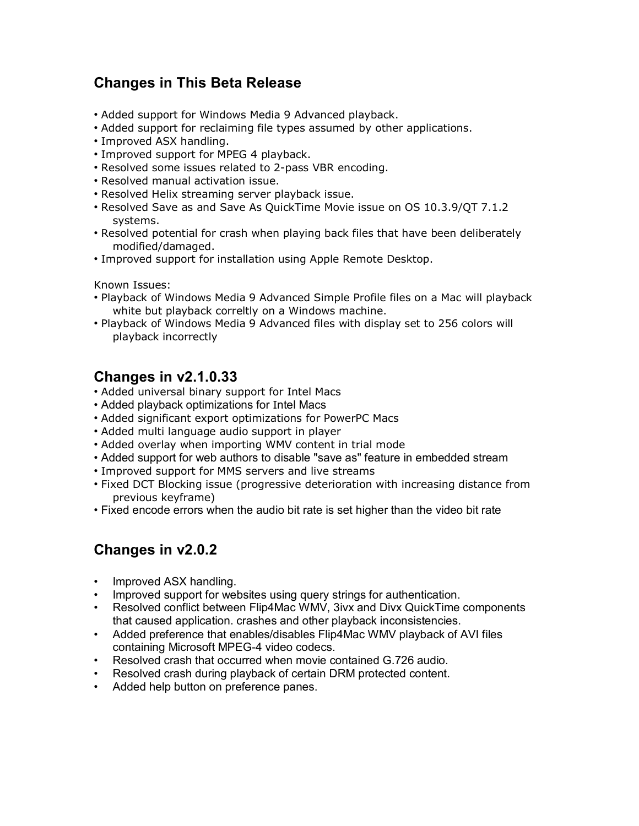## **Changes in This Beta Release**

- Added support for Windows Media 9 Advanced playback.
- Added support for reclaiming file types assumed by other applications.
- Improved ASX handling.
- Improved support for MPEG 4 playback.
- Resolved some issues related to 2-pass VBR encoding.
- Resolved manual activation issue.
- Resolved Helix streaming server playback issue.
- Resolved Save as and Save As QuickTime Movie issue on OS 10.3.9/QT 7.1.2 systems.
- Resolved potential for crash when playing back files that have been deliberately modified/damaged.
- Improved support for installation using Apple Remote Desktop.

Known Issues:

- Playback of Windows Media 9 Advanced Simple Profile files on a Mac will playback white but playback correltly on a Windows machine.
- Playback of Windows Media 9 Advanced files with display set to 256 colors will playback incorrectly

#### **Changes in v2.1.0.33**

- Added universal binary support for Intel Macs
- Added playback optimizations for Intel Macs
- Added significant export optimizations for PowerPC Macs
- Added multi language audio support in player
- Added overlay when importing WMV content in trial mode
- Added support for web authors to disable "save as" feature in embedded stream
- Improved support for MMS servers and live streams
- Fixed DCT Blocking issue (progressive deterioration with increasing distance from previous keyframe)
- Fixed encode errors when the audio bit rate is set higher than the video bit rate

## **Changes in v2.0.2**

- Improved ASX handling.
- Improved support for websites using query strings for authentication.
- Resolved conflict between Flip4Mac WMV, 3ivx and Divx QuickTime components that caused application. crashes and other playback inconsistencies.
- Added preference that enables/disables Flip4Mac WMV playback of AVI files containing Microsoft MPEG-4 video codecs.
- Resolved crash that occurred when movie contained G.726 audio.
- Resolved crash during playback of certain DRM protected content.
- Added help button on preference panes.